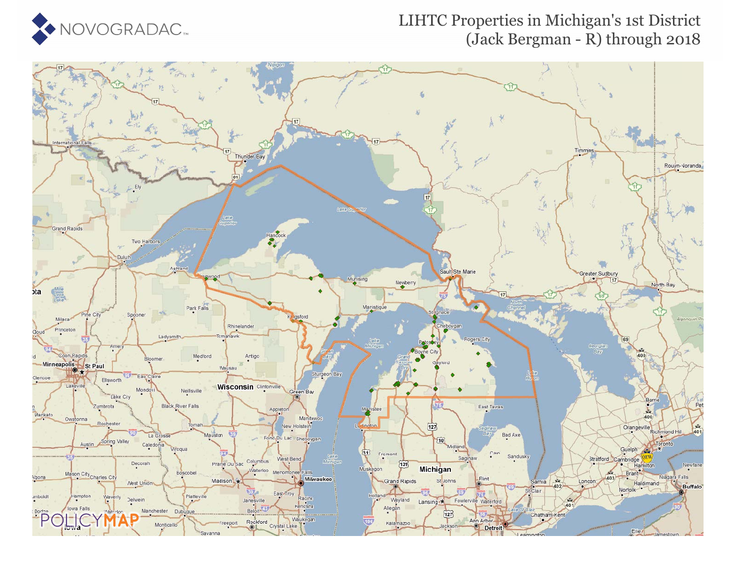

#### LIHTC Properties in Michigan's 1st District (Jack Bergman - R) through 2018

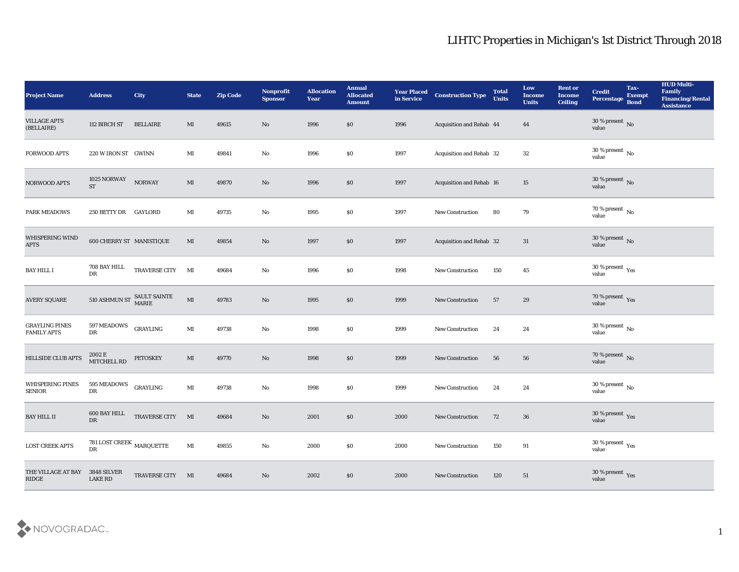| <b>Project Name</b>                         | <b>Address</b>                          | <b>City</b>                | <b>State</b>           | <b>Zip Code</b> | Nonprofit<br><b>Sponsor</b> | <b>Allocation</b><br><b>Year</b> | <b>Annual</b><br><b>Allocated</b><br><b>Amount</b> | <b>Year Placed</b><br>in Service | <b>Construction Type</b> | <b>Total</b><br><b>Units</b> | Low<br><b>Income</b><br><b>Units</b> | <b>Rent or</b><br><b>Income</b><br><b>Ceiling</b> | <b>Credit</b><br>Percentage                   | Tax-<br><b>Exempt</b><br><b>Bond</b> | <b>HUD Multi-</b><br>Family<br><b>Financing/Rental</b><br><b>Assistance</b> |
|---------------------------------------------|-----------------------------------------|----------------------------|------------------------|-----------------|-----------------------------|----------------------------------|----------------------------------------------------|----------------------------------|--------------------------|------------------------------|--------------------------------------|---------------------------------------------------|-----------------------------------------------|--------------------------------------|-----------------------------------------------------------------------------|
| <b>VILLAGE APTS</b><br>(BELLAIRE)           | 112 BIRCH ST                            | <b>BELLAIRE</b>            | MI                     | 49615           | No                          | 1996                             | \$0                                                | 1996                             | Acquisition and Rehab 44 |                              | 44                                   |                                                   | $30\,\%$ present $\,$ No value                |                                      |                                                                             |
| <b>FORWOOD APTS</b>                         | 220 W IRON ST GWINN                     |                            | MI                     | 49841           | No                          | 1996                             | \$0                                                | 1997                             | Acquisition and Rehab 32 |                              | 32                                   |                                                   | 30 % present $\,$ No $\,$<br>value            |                                      |                                                                             |
| NORWOOD APTS                                | 1025 NORWAY<br><b>ST</b>                | <b>NORWAY</b>              | $\mathbf{M}$           | 49870           | No                          | 1996                             | $\$0$                                              | 1997                             | Acquisition and Rehab 16 |                              | 15                                   |                                                   | $30\,\%$ present $\,$ No value                |                                      |                                                                             |
| <b>PARK MEADOWS</b>                         | 250 BETTY DR GAYLORD                    |                            | MI                     | 49735           | No                          | 1995                             | \$0                                                | 1997                             | New Construction         | 80                           | 79                                   |                                                   | $70\,\%$ present $\,$ No value                |                                      |                                                                             |
| WHISPERING WIND<br><b>APTS</b>              | 600 CHERRY ST MANISTIQUE                |                            | MI                     | 49854           | No                          | 1997                             | \$0                                                | 1997                             | Acquisition and Rehab 32 |                              | 31                                   |                                                   | $30\,\%$ present $\,$ No value                |                                      |                                                                             |
| <b>BAY HILL I</b>                           | 708 BAY HILL<br>DR                      | TRAVERSE CITY MI           |                        | 49684           | No                          | 1996                             | \$0                                                | 1998                             | New Construction         | 150                          | 45                                   |                                                   | $30\,\%$ present $\,$ Yes value               |                                      |                                                                             |
| <b>AVERY SQUARE</b>                         |                                         | 510 ASHMUN ST SAULT SAINTE | $\mathbf{M}\mathbf{I}$ | 49783           | No                          | 1995                             | $\$0$                                              | 1999                             | New Construction         | 57                           | 29                                   |                                                   | $70\,\%$ present $\,$ Yes value               |                                      |                                                                             |
| <b>GRAYLING PINES</b><br><b>FAMILY APTS</b> | 597 MEADOWS<br>DR                       | GRAYLING                   | $\mathbf{M}$ I         | 49738           | $\mathbf {No}$              | 1998                             | \$0                                                | 1999                             | <b>New Construction</b>  | 24                           | 24                                   |                                                   | 30 % present $\,$ No $\,$<br>value            |                                      |                                                                             |
| <b>HILLSIDE CLUB APTS</b>                   | 2002 E<br>MITCHELL RD                   | <b>PETOSKEY</b>            | MI                     | 49770           | No                          | 1998                             | \$0                                                | 1999                             | <b>New Construction</b>  | 56                           | 56                                   |                                                   | $70\,\%$ present $\,$ No value                |                                      |                                                                             |
| WHISPERING PINES<br><b>SENIOR</b>           | 595 MEADOWS<br>DR                       | GRAYLING                   | $\mathbf{M}$ I         | 49738           | $\rm\thinspace No$          | 1998                             | \$0                                                | 1999                             | <b>New Construction</b>  | 24                           | 24                                   |                                                   | $30\,\%$ present $\,$ No value                |                                      |                                                                             |
| <b>BAY HILL II</b>                          | 600 BAY HILL<br>DR                      | TRAVERSE CITY MI           |                        | 49684           | No                          | 2001                             | \$0                                                | 2000                             | <b>New Construction</b>  | 72                           | 36                                   |                                                   | 30 % present Yes<br>value                     |                                      |                                                                             |
| <b>LOST CREEK APTS</b>                      | 781 LOST CREEK $_{\rm MARQUETTE}$<br>DR |                            | $\mathbf{M}\mathbf{I}$ | 49855           | $\rm\thinspace No$          | 2000                             | \$0                                                | 2000                             | New Construction         | 150                          | 91                                   |                                                   | 30 % present $\,\rm \gamma_{\rm es}$<br>value |                                      |                                                                             |
| THE VILLAGE AT BAY<br>RIDGE                 | 3848 SILVER<br><b>LAKE RD</b>           | TRAVERSE CITY MI           |                        | 49684           | $\rm\thinspace No$          | 2002                             | $\$0$                                              | 2000                             | New Construction         | 120                          | 51                                   |                                                   | $30\,\%$ present $\,$ Yes value               |                                      |                                                                             |

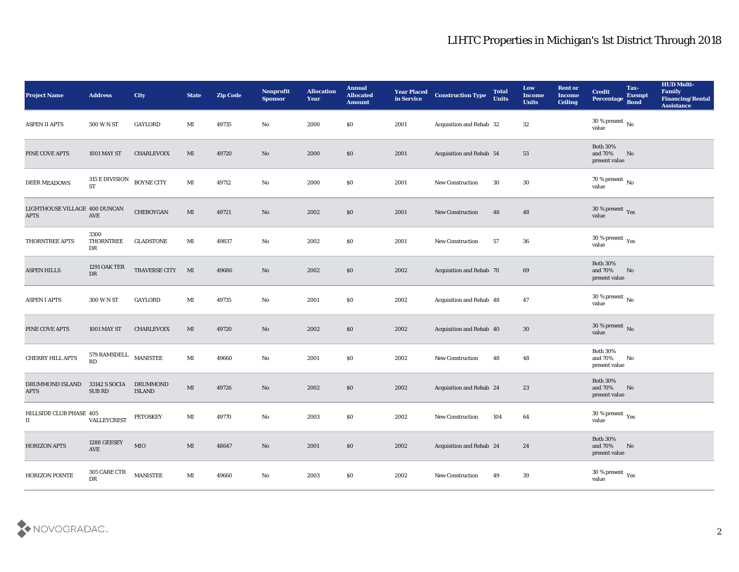| <b>Project Name</b>                          | <b>Address</b>                    | <b>City</b>                      | <b>State</b>           | <b>Zip Code</b> | Nonprofit<br><b>Sponsor</b> | <b>Allocation</b><br><b>Year</b> | <b>Annual</b><br><b>Allocated</b><br><b>Amount</b> | <b>Year Placed</b><br>in Service | <b>Construction Type</b>        | <b>Total</b><br><b>Units</b> | Low<br><b>Income</b><br><b>Units</b> | <b>Rent or</b><br><b>Income</b><br><b>Ceiling</b> | <b>Credit</b><br>Percentage                          | Tax-<br><b>Exempt</b><br><b>Bond</b> | <b>HUD Multi-</b><br>Family<br><b>Financing/Rental</b><br><b>Assistance</b> |
|----------------------------------------------|-----------------------------------|----------------------------------|------------------------|-----------------|-----------------------------|----------------------------------|----------------------------------------------------|----------------------------------|---------------------------------|------------------------------|--------------------------------------|---------------------------------------------------|------------------------------------------------------|--------------------------------------|-----------------------------------------------------------------------------|
| <b>ASPEN II APTS</b>                         | 500 W N ST                        | <b>GAYLORD</b>                   | MI                     | 49735           | No                          | 2000                             | $\$0$                                              | 2001                             | Acquisition and Rehab 32        |                              | 32                                   |                                                   | $30\,\%$ present $\,$ No $\,$<br>value               |                                      |                                                                             |
| PINE COVE APTS                               | <b>1001 MAY ST</b>                | <b>CHARLEVOIX</b>                | MI                     | 49720           | No                          | 2000                             | \$0                                                | 2001                             | Acquisition and Rehab 54        |                              | 53                                   |                                                   | <b>Both 30%</b><br>and 70%<br>present value          | No                                   |                                                                             |
| <b>DEER MEADOWS</b>                          | 315 E DIVISION<br><b>ST</b>       | <b>BOYNE CITY</b>                | MI                     | 49712           | $\rm\thinspace No$          | 2000                             | \$0                                                | 2001                             | New Construction                | 30                           | 30                                   |                                                   | $70\,\%$ present $\,$ No value                       |                                      |                                                                             |
| LIGHTHOUSE VILLAGE 400 DUNCAN<br><b>APTS</b> | AVE                               | CHEBOYGAN                        | MI                     | 49721           | No                          | 2002                             | $\$0$                                              | 2001                             | New Construction                | 48                           | 48                                   |                                                   | $30\,\%$ present $\,$ Yes value                      |                                      |                                                                             |
| THORNTREE APTS                               | 3300<br>THORNTREE<br>DR           | <b>GLADSTONE</b>                 | MI                     | 49837           | No                          | 2002                             | \$0                                                | 2001                             | <b>New Construction</b>         | 57                           | 36                                   |                                                   | 30 % present $\,\rm \gamma_{\rm e s}$<br>value       |                                      |                                                                             |
| <b>ASPEN HILLS</b>                           | <b>1291 OAK TER</b><br>${\rm DR}$ | TRAVERSE CITY MI                 |                        | 49686           | No                          | 2002                             | \$0                                                | 2002                             | <b>Acquisition and Rehab 70</b> |                              | 69                                   |                                                   | <b>Both 30%</b><br>and 70%<br>present value          | No                                   |                                                                             |
| <b>ASPEN I APTS</b>                          | 300 W N ST                        | GAYLORD                          | MI                     | 49735           | No                          | 2001                             | \$0                                                | 2002                             | Acquisition and Rehab 48        |                              | 47                                   |                                                   | $30\,\%$ present $\,$ No value                       |                                      |                                                                             |
| PINE COVE APTS                               | <b>1001 MAY ST</b>                | <b>CHARLEVOIX</b>                | MI                     | 49720           | No                          | 2002                             | $\$0$                                              | 2002                             | Acquisition and Rehab 40        |                              | 30                                   |                                                   | $30\,\%$ present $\,$ No value                       |                                      |                                                                             |
| CHERRY HILL APTS                             | 579 RAMSDELL MANISTEE<br>RD       |                                  | $\mathbf{M}$ I         | 49660           | No                          | 2001                             | \$0                                                | 2002                             | New Construction                | 48                           | 48                                   |                                                   | <b>Both 30%</b><br>and 70%<br>present value          | No                                   |                                                                             |
| DRUMMOND ISLAND<br><b>APTS</b>               | 33142 S SOCIA<br><b>SUB RD</b>    | <b>DRUMMOND</b><br><b>ISLAND</b> | $\mathbf{M}$           | 49726           | No                          | 2002                             | \$0                                                | 2002                             | Acquisition and Rehab 24        |                              | 23                                   |                                                   | <b>Both 30%</b><br>and 70%<br>present value          | No                                   |                                                                             |
| HILLSIDE CLUB PHASE 405<br>П                 | VALLEYCREST                       | <b>PETOSKEY</b>                  | MI                     | 49770           | No                          | 2003                             | \$0                                                | 2002                             | <b>New Construction</b>         | 104                          | 64                                   |                                                   | 30 % present $\rm\thinspace\gamma_{\rm es}$<br>value |                                      |                                                                             |
| <b>HORIZON APTS</b>                          | 1288 GEESEY<br>AVE                | $_{\rm MIO}$                     | $\mathbf{M}\mathbf{I}$ | 48647           | $\rm\, No$                  | 2001                             | $\$0$                                              | 2002                             | Acquisition and Rehab 24        |                              | 24                                   |                                                   | Both $30\%$<br>and $70\%$<br>present value           | No                                   |                                                                             |
| HORIZON POINTE                               | 305 CARE CTR<br>${\rm DR}$        | <b>MANISTEE</b>                  | $\mathbf{M}$ I         | 49660           | $\rm\thinspace No$          | 2003                             | \$0                                                | 2002                             | <b>New Construction</b>         | 49                           | 39                                   |                                                   | $30\,\%$ present $\,$ Yes value                      |                                      |                                                                             |

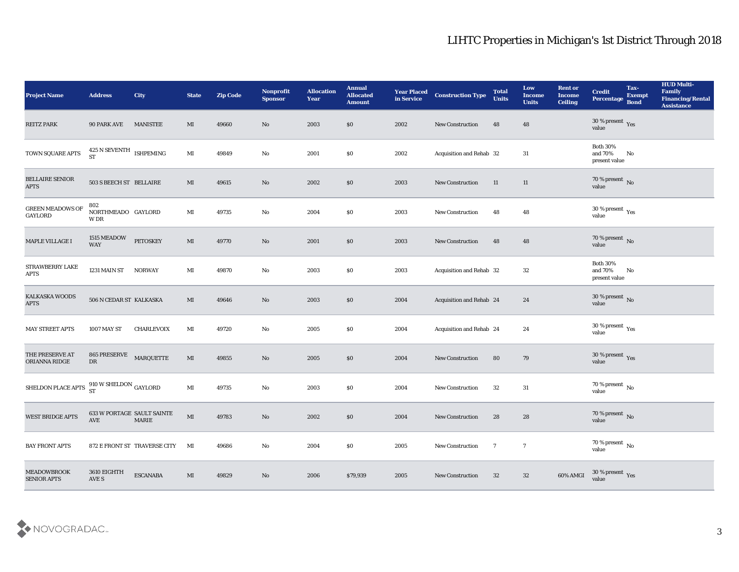| <b>Project Name</b>                                                                          | <b>Address</b>                           | City                            | <b>State</b>           | <b>Zip Code</b> | Nonprofit<br><b>Sponsor</b> | <b>Allocation</b><br>Year | <b>Annual</b><br><b>Allocated</b><br><b>Amount</b> | <b>Year Placed</b><br>in Service | <b>Construction Type</b> | <b>Total</b><br><b>Units</b> | Low<br><b>Income</b><br><b>Units</b> | <b>Rent or</b><br><b>Income</b><br><b>Ceiling</b> | <b>Credit</b><br>Percentage                 | Tax-<br><b>Exempt</b><br><b>Bond</b> | <b>HUD Multi-</b><br>Family<br><b>Financing/Rental</b><br><b>Assistance</b> |
|----------------------------------------------------------------------------------------------|------------------------------------------|---------------------------------|------------------------|-----------------|-----------------------------|---------------------------|----------------------------------------------------|----------------------------------|--------------------------|------------------------------|--------------------------------------|---------------------------------------------------|---------------------------------------------|--------------------------------------|-----------------------------------------------------------------------------|
| <b>REITZ PARK</b>                                                                            | <b>90 PARK AVE</b>                       | <b>MANISTEE</b>                 | MI                     | 49660           | No                          | 2003                      | \$0                                                | 2002                             | <b>New Construction</b>  | 48                           | 48                                   |                                                   | $30\,\%$ present $\,$ Yes value             |                                      |                                                                             |
| TOWN SQUARE APTS                                                                             | $425$ N SEVENTH $\;$ ISHPEMING ST        |                                 | $\mathbf{M}$           | 49849           | No                          | 2001                      | \$0                                                | 2002                             | Acquisition and Rehab 32 |                              | 31                                   |                                                   | <b>Both 30%</b><br>and 70%<br>present value | No                                   |                                                                             |
| <b>BELLAIRE SENIOR</b><br><b>APTS</b>                                                        | 503 S BEECH ST BELLAIRE                  |                                 | MI                     | 49615           | $\rm No$                    | 2002                      | \$0                                                | 2003                             | New Construction         | 11                           | 11                                   |                                                   | 70 % present No<br>value                    |                                      |                                                                             |
| <b>GREEN MEADOWS OF</b><br>GAYLORD                                                           | 802<br>NORTHMEADO GAYLORD<br>W DR        |                                 | MI                     | 49735           | $\rm\thinspace No$          | 2004                      | \$0\$                                              | 2003                             | New Construction         | 48                           | 48                                   |                                                   | $30\,\%$ present $\,$ Yes value             |                                      |                                                                             |
| MAPLE VILLAGE I                                                                              | 1515 MEADOW<br><b>WAY</b>                | <b>PETOSKEY</b>                 | MI                     | 49770           | No                          | 2001                      | \$0                                                | 2003                             | <b>New Construction</b>  | 48                           | 48                                   |                                                   | $70\,\%$ present $\,$ No $\,$ value         |                                      |                                                                             |
| STRAWBERRY LAKE<br><b>APTS</b>                                                               | 1231 MAIN ST                             | <b>NORWAY</b>                   | $\mathbf{M}$ I         | 49870           | $\rm\thinspace No$          | 2003                      | \$0\$                                              | 2003                             | Acquisition and Rehab 32 |                              | 32                                   |                                                   | <b>Both 30%</b><br>and 70%<br>present value | No                                   |                                                                             |
| <b>KALKASKA WOODS</b><br><b>APTS</b>                                                         | 506 N CEDAR ST KALKASKA                  |                                 | MI                     | 49646           | No                          | 2003                      | $\$0$                                              | 2004                             | Acquisition and Rehab 24 |                              | 24                                   |                                                   | $30\,\%$ present $\,$ No value              |                                      |                                                                             |
| <b>MAY STREET APTS</b>                                                                       | <b>1007 MAY ST</b>                       | <b>CHARLEVOIX</b>               | MI                     | 49720           | $\mathbf{N}\mathbf{o}$      | 2005                      | \$0\$                                              | 2004                             | Acquisition and Rehab 24 |                              | 24                                   |                                                   | $30\,\%$ present $\,$ Yes value             |                                      |                                                                             |
| THE PRESERVE AT<br>ORIANNA RIDGE                                                             | 865 PRESERVE MARQUETTE<br>DR             |                                 | $\mathbf{M}\mathbf{I}$ | 49855           | No                          | 2005                      | \$0                                                | 2004                             | <b>New Construction</b>  | 80                           | 79                                   |                                                   | $30\,\%$ present $\,$ Yes value             |                                      |                                                                             |
| SHELDON PLACE APTS $\begin{array}{c} 910 \text{ W SHELDON} \\ \text{ST} \end{array}$ GAYLORD |                                          |                                 | $\mathbf{M}$           | 49735           | $\rm\thinspace No$          | 2003                      | \$0\$                                              | 2004                             | New Construction         | 32                           | 31                                   |                                                   | $70\,\%$ present $\,$ No value              |                                      |                                                                             |
| <b>WEST BRIDGE APTS</b>                                                                      | <b>633 W PORTAGE SAULT SAINTE</b><br>AVE | <b>MARIE</b>                    | MI                     | 49783           | No                          | 2002                      | \$0\$                                              | 2004                             | <b>New Construction</b>  | 28                           | 28                                   |                                                   | $70\,\%$ present $\,$ No value              |                                      |                                                                             |
| <b>BAY FRONT APTS</b>                                                                        |                                          | 872 E FRONT ST TRAVERSE CITY MI |                        | 49686           | $\rm\thinspace No$          | 2004                      | \$0                                                | 2005                             | New Construction         | $7\phantom{.0}$              | $\overline{7}$                       |                                                   | 70 % present $\,$ No $\,$<br>value          |                                      |                                                                             |
| <b>MEADOWBROOK</b><br><b>SENIOR APTS</b>                                                     | 3610 EIGHTH<br>AVE S                     | <b>ESCANABA</b>                 | $\mathbf{M}\mathbf{I}$ | 49829           | $\mathbf {No}$              | 2006                      | \$79,939                                           | 2005                             | <b>New Construction</b>  | 32                           | 32                                   | 60% AMGI                                          | $30\,\%$ present $\,$ Yes value             |                                      |                                                                             |

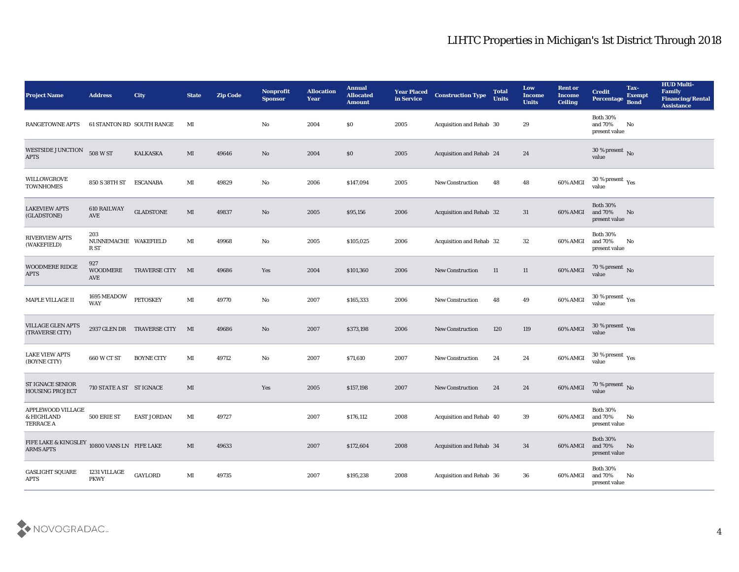| <b>Project Name</b>                                              | <b>Address</b>                      | <b>City</b>                | <b>State</b>           | <b>Zip Code</b> | Nonprofit<br><b>Sponsor</b> | <b>Allocation</b><br><b>Year</b> | <b>Annual</b><br><b>Allocated</b><br><b>Amount</b> | <b>Year Placed</b><br>in Service | <b>Construction Type</b>        | <b>Total</b><br><b>Units</b> | Low<br><b>Income</b><br><b>Units</b> | <b>Rent or</b><br><b>Income</b><br><b>Ceiling</b> | <b>Credit</b><br>Percentage                    | Tax-<br><b>Exempt</b><br><b>Bond</b> | <b>HUD Multi-</b><br>Family<br><b>Financing/Rental</b><br><b>Assistance</b> |
|------------------------------------------------------------------|-------------------------------------|----------------------------|------------------------|-----------------|-----------------------------|----------------------------------|----------------------------------------------------|----------------------------------|---------------------------------|------------------------------|--------------------------------------|---------------------------------------------------|------------------------------------------------|--------------------------------------|-----------------------------------------------------------------------------|
| <b>RANGETOWNE APTS</b>                                           |                                     | 61 STANTON RD SOUTH RANGE  | MI                     |                 | No                          | 2004                             | $\$0$                                              | 2005                             | Acquisition and Rehab 30        |                              | 29                                   |                                                   | <b>Both 30%</b><br>and 70%<br>present value    | No                                   |                                                                             |
| WESTSIDE JUNCTION<br><b>APTS</b>                                 | 508 W ST                            | <b>KALKASKA</b>            | MI                     | 49646           | No                          | 2004                             | \$0                                                | 2005                             | Acquisition and Rehab 24        |                              | 24                                   |                                                   | 30 % present $\bar{N}$ o<br>value              |                                      |                                                                             |
| WILLOWGROVE<br><b>TOWNHOMES</b>                                  | 850 S 38TH ST                       | <b>ESCANABA</b>            | MI                     | 49829           | No                          | 2006                             | \$147,094                                          | 2005                             | <b>New Construction</b>         | 48                           | 48                                   | 60% AMGI                                          | $30$ % present $\,$ $\rm Yes$<br>value         |                                      |                                                                             |
| <b>LAKEVIEW APTS</b><br>(GLADSTONE)                              | <b>610 RAILWAY</b><br>AVE           | <b>GLADSTONE</b>           | MI                     | 49837           | No                          | 2005                             | \$95,156                                           | 2006                             | <b>Acquisition and Rehab 32</b> |                              | 31                                   | 60% AMGI                                          | <b>Both 30%</b><br>and 70%<br>present value    | No                                   |                                                                             |
| <b>RIVERVIEW APTS</b><br>(WAKEFIELD)                             | 203<br>NUNNEMACHE WAKEFIELD<br>R ST |                            | MI                     | 49968           | No                          | 2005                             | \$105,025                                          | 2006                             | Acquisition and Rehab 32        |                              | 32                                   | 60% AMGI                                          | <b>Both 30%</b><br>and 70%<br>present value    | No                                   |                                                                             |
| <b>WOODMERE RIDGE</b><br><b>APTS</b>                             | 927<br>WOODMERE<br>AVE              | <b>TRAVERSE CITY</b>       | MI                     | 49686           | Yes                         | 2004                             | \$101,360                                          | 2006                             | <b>New Construction</b>         | 11                           | 11                                   | 60% AMGI                                          | $70\,\%$ present $\,$ No value                 |                                      |                                                                             |
| MAPLE VILLAGE II                                                 | 1695 MEADOW<br><b>WAY</b>           | <b>PETOSKEY</b>            | $\mathbf{M}$ I         | 49770           | No                          | 2007                             | \$165,333                                          | 2006                             | <b>New Construction</b>         | 48                           | 49                                   | 60% AMGI                                          | $30\,\%$ present $\,$ Yes value                |                                      |                                                                             |
| <b>VILLAGE GLEN APTS</b><br>(TRAVERSE CITY)                      |                                     | 2937 GLEN DR TRAVERSE CITY | $\mathbf{M}$           | 49686           | No                          | 2007                             | \$373,198                                          | 2006                             | <b>New Construction</b>         | 120                          | 119                                  | 60% AMGI                                          | 30 % present Yes<br>value                      |                                      |                                                                             |
| <b>LAKE VIEW APTS</b><br>(BOYNE CITY)                            | 660 W CT ST                         | <b>BOYNE CITY</b>          | MI                     | 49712           | No                          | 2007                             | \$71,610                                           | 2007                             | <b>New Construction</b>         | 24                           | 24                                   | 60% AMGI                                          | 30 % present $\rm\,Yes$<br>value               |                                      |                                                                             |
| <b>ST IGNACE SENIOR</b><br><b>HOUSING PROJECT</b>                | 710 STATE A ST ST IGNACE            |                            | MI                     |                 | Yes                         | 2005                             | \$157,198                                          | 2007                             | <b>New Construction</b>         | 24                           | 24                                   | 60% AMGI                                          | $70\,\%$ present $\,$ No $\,$ value            |                                      |                                                                             |
| APPLEWOOD VILLAGE<br>& HIGHLAND<br>TERRACE A                     | 500 ERIE ST                         | <b>EAST JORDAN</b>         | МI                     | 49727           |                             | 2007                             | \$176,112                                          | 2008                             | Acquisition and Rehab 40        |                              | 39                                   | 60% AMGI and 70%                                  | <b>Both 30%</b><br>present value               | No                                   |                                                                             |
| FIFE LAKE & KINGSLEY 10800 VANS LN FIFE LAKE<br><b>ARMS APTS</b> |                                     |                            | $\mathbf{M}\mathbf{I}$ | 49633           |                             | 2007                             | \$172,604                                          | 2008                             | Acquisition and Rehab 34        |                              | 34                                   | 60% AMGI                                          | <b>Both 30%</b><br>and 70% No<br>present value |                                      |                                                                             |
| <b>GASLIGHT SQUARE</b><br><b>APTS</b>                            | 1231 VILLAGE<br><b>PKWY</b>         | GAYLORD                    | $\mathbf{M}$ I         | 49735           |                             | 2007                             | \$195,238                                          | 2008                             | Acquisition and Rehab 36        |                              | 36                                   | 60% AMGI                                          | Both $30\%$<br>and 70%<br>present value        | $\mathbf{N}\mathbf{o}$               |                                                                             |

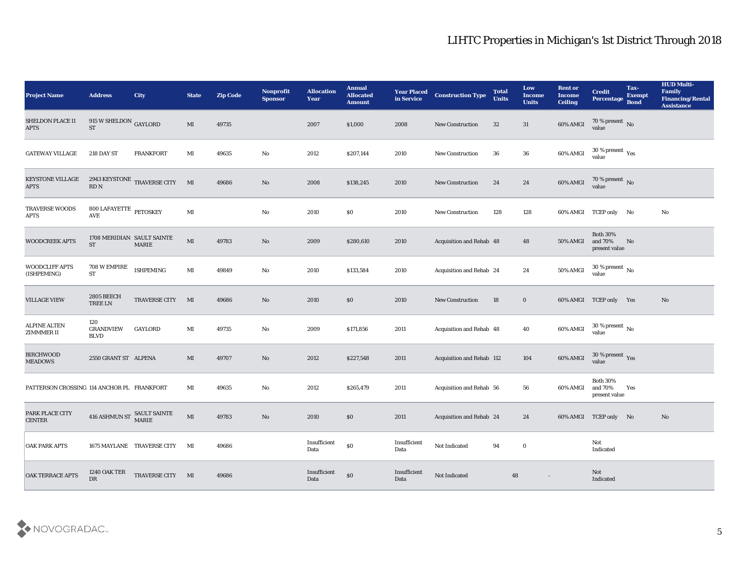| <b>Project Name</b>                        | <b>Address</b>                                        | <b>City</b>                    | <b>State</b> | <b>Zip Code</b> | Nonprofit<br><b>Sponsor</b> | <b>Allocation</b><br><b>Year</b>          | <b>Annual</b><br><b>Allocated</b><br><b>Amount</b> | <b>Year Placed</b><br>in Service | <b>Construction Type</b>  | <b>Total</b><br><b>Units</b> | Low<br><b>Income</b><br><b>Units</b> | <b>Rent or</b><br><b>Income</b><br><b>Ceiling</b> | <b>Credit</b><br><b>Percentage</b>            | Tax-<br><b>Exempt</b><br><b>Bond</b> | <b>HUD Multi-</b><br>Family<br><b>Financing/Rental</b><br><b>Assistance</b> |
|--------------------------------------------|-------------------------------------------------------|--------------------------------|--------------|-----------------|-----------------------------|-------------------------------------------|----------------------------------------------------|----------------------------------|---------------------------|------------------------------|--------------------------------------|---------------------------------------------------|-----------------------------------------------|--------------------------------------|-----------------------------------------------------------------------------|
| SHELDON PLACE II<br><b>APTS</b>            | 915 W SHELDON GAYLORD<br><b>ST</b>                    |                                | MI           | 49735           |                             | 2007                                      | \$1,000                                            | 2008                             | <b>New Construction</b>   | 32                           | 31                                   | 60% AMGI                                          | 70 % present No value                         |                                      |                                                                             |
| <b>GATEWAY VILLAGE</b>                     | <b>218 DAY ST</b>                                     | <b>FRANKFORT</b>               | MI           | 49635           | No                          | 2012                                      | \$207,144                                          | 2010                             | <b>New Construction</b>   | 36                           | 36                                   | 60% AMGI                                          | 30 % present $\,\rm \gamma_{\rm es}$<br>value |                                      |                                                                             |
| <b>KEYSTONE VILLAGE</b><br><b>APTS</b>     | $\mathop{\mathrm{RD}}\nolimits$ N                     | 2943 KEYSTONE TRAVERSE CITY MI |              | 49686           | No                          | 2008                                      | \$138,245                                          | 2010                             | <b>New Construction</b>   | 24                           | 24                                   | 60% AMGI                                          | $70\,\%$ present $\,$ No value                |                                      |                                                                             |
| <b>TRAVERSE WOODS</b><br><b>APTS</b>       | $800$ LAFAYETTE $\,$ PETOSKEY<br>AVE                  |                                | MI           |                 | No                          | 2010                                      | \$0                                                | 2010                             | <b>New Construction</b>   | 128                          | 128                                  |                                                   | 60% AMGI TCEP only No                         |                                      | No                                                                          |
| <b>WOODCREEK APTS</b>                      | 1708 MERIDIAN SAULT SAINTE<br><b>ST</b>               | <b>MARIE</b>                   | MI           | 49783           | No                          | 2009                                      | \$280,610                                          | 2010                             | Acquisition and Rehab 48  |                              | 48                                   | 50% AMGI                                          | <b>Both 30%</b><br>and 70%<br>present value   | No                                   |                                                                             |
| <b>WOODCLIFF APTS</b><br>(ISHPEMING)       | 708 W EMPIRE<br><b>ST</b>                             | <b>ISHPEMING</b>               | MI           | 49849           | No                          | 2010                                      | \$133,584                                          | 2010                             | Acquisition and Rehab 24  |                              | 24                                   | 50% AMGI                                          | $30\,\%$ present $\,$ No value                |                                      |                                                                             |
| <b>VILLAGE VIEW</b>                        | <b>2805 BEECH</b><br>$\operatorname{TREE}$ LN         | TRAVERSE CITY                  | M            | 49686           | No                          | 2010                                      | \$0                                                | 2010                             | <b>New Construction</b>   | 18                           | $\bf{0}$                             |                                                   | 60% AMGI TCEP only Yes                        |                                      | No                                                                          |
| <b>ALPINE ALTEN</b><br><b>ZIMMMER II</b>   | 120<br><b>GRANDVIEW</b><br><b>BLVD</b>                | <b>GAYLORD</b>                 | MI           | 49735           | No                          | 2009                                      | \$171,856                                          | 2011                             | Acquisition and Rehab 48  |                              | 40                                   | 60% AMGI                                          | $30\,\%$ present $\,$ No $\,$<br>value        |                                      |                                                                             |
| <b>BIRCHWOOD</b><br><b>MEADOWS</b>         | 2550 GRANT ST ALPENA                                  |                                | MI           | 49707           | No                          | 2012                                      | \$227,548                                          | 2011                             | Acquisition and Rehab 112 |                              | 104                                  | 60% AMGI                                          | $30\,\%$ present $\,$ Yes value               |                                      |                                                                             |
| PATTERSON CROSSING 114 ANCHOR PL FRANKFORT |                                                       |                                | MI           | 49635           | No                          | 2012                                      | \$265,479                                          | 2011                             | Acquisition and Rehab 56  |                              | 56                                   | 60% AMGI                                          | <b>Both 30%</b><br>and 70%<br>present value   | Yes                                  |                                                                             |
| PARK PLACE CITY<br><b>CENTER</b>           | $416$ ASHMUN ST $\begin{array}{c}$ SAULT SAINTE MARIE |                                | MI           | 49783           | No                          | 2010                                      | \$0                                                | 2011                             | Acquisition and Rehab 24  |                              | 24                                   |                                                   | 60% AMGI TCEP only No                         |                                      | No                                                                          |
| <b>OAK PARK APTS</b>                       |                                                       | 1675 MAYLANE TRAVERSE CITY MI  |              | 49686           |                             | $\label{lem:inert} In sufficient$<br>Data | $\$0$                                              | Insufficient<br>Data             | Not Indicated             | 94                           | $\bf{0}$                             |                                                   | Not<br>Indicated                              |                                      |                                                                             |
| <b>OAK TERRACE APTS</b>                    | <b>1240 OAK TER</b><br>DR                             | TRAVERSE CITY MI               |              | 49686           |                             | Insufficient<br>Data                      | $\$0$                                              | Insufficient<br>Data             | Not Indicated             | 48                           |                                      |                                                   | Not<br>Indicated                              |                                      |                                                                             |

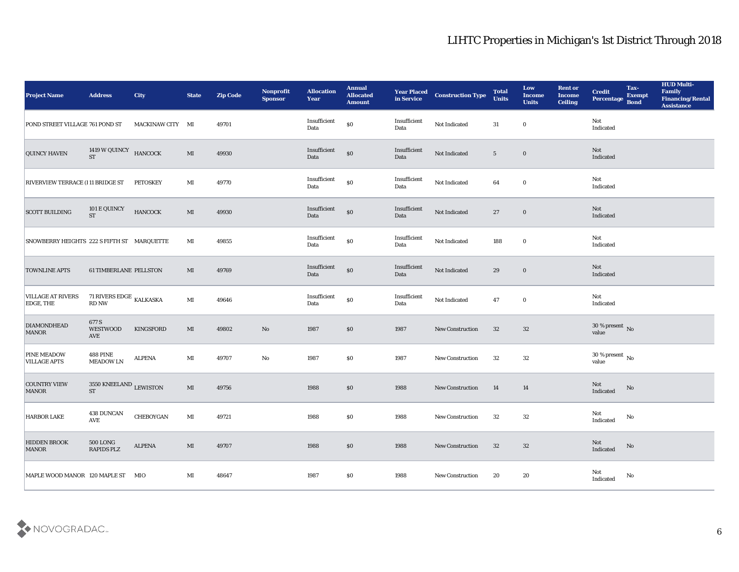| <b>Project Name</b>                          | <b>Address</b>                            | City             | <b>State</b>   | <b>Zip Code</b> | Nonprofit<br><b>Sponsor</b> | <b>Allocation</b><br><b>Year</b> | <b>Annual</b><br><b>Allocated</b><br><b>Amount</b> | <b>Year Placed</b><br>in Service | <b>Construction Type</b> | <b>Total</b><br><b>Units</b> | Low<br><b>Income</b><br><b>Units</b> | <b>Rent or</b><br><b>Income</b><br><b>Ceiling</b> | <b>Credit</b><br><b>Percentage</b> | Tax-<br><b>Exempt</b><br><b>Bond</b> | <b>HUD Multi-</b><br>Family<br><b>Financing/Rental</b><br><b>Assistance</b> |
|----------------------------------------------|-------------------------------------------|------------------|----------------|-----------------|-----------------------------|----------------------------------|----------------------------------------------------|----------------------------------|--------------------------|------------------------------|--------------------------------------|---------------------------------------------------|------------------------------------|--------------------------------------|-----------------------------------------------------------------------------|
| POND STREET VILLAGE 761 POND ST              |                                           | MACKINAW CITY MI |                | 49701           |                             | Insufficient<br>Data             | $\$0$                                              | Insufficient<br>Data             | Not Indicated            | 31                           | $\bf{0}$                             |                                                   | Not<br>Indicated                   |                                      |                                                                             |
| <b>QUINCY HAVEN</b>                          | 1419 W QUINCY HANCOCK<br><b>ST</b>        |                  | MI             | 49930           |                             | Insufficient<br>Data             | $\$0$                                              | Insufficient<br>Data             | Not Indicated            | $5\phantom{.0}$              | $\bf{0}$                             |                                                   | Not<br>Indicated                   |                                      |                                                                             |
| <b>RIVERVIEW TERRACE (111 BRIDGE ST</b>      |                                           | <b>PETOSKEY</b>  | MI             | 49770           |                             | Insufficient<br>Data             | $\$0$                                              | Insufficient<br>Data             | Not Indicated            | 64                           | $\bf{0}$                             |                                                   | Not<br>Indicated                   |                                      |                                                                             |
| <b>SCOTT BUILDING</b>                        | 101 E QUINCY<br><b>ST</b>                 | <b>HANCOCK</b>   | $\mathbf{M}$   | 49930           |                             | Insufficient<br>Data             | $\$0$                                              | Insufficient<br>Data             | Not Indicated            | 27                           | $\bf{0}$                             |                                                   | Not<br>Indicated                   |                                      |                                                                             |
| SNOWBERRY HEIGHTS 222 S FIFTH ST MARQUETTE   |                                           |                  | MI             | 49855           |                             | Insufficient<br>Data             | $\$0$                                              | Insufficient<br>Data             | Not Indicated            | 188                          | $\bf{0}$                             |                                                   | Not<br>Indicated                   |                                      |                                                                             |
| <b>TOWNLINE APTS</b>                         | <b>61 TIMBERLANE PELLSTON</b>             |                  | MI             | 49769           |                             | Insufficient<br>Data             | \$0                                                | Insufficient<br>Data             | Not Indicated            | 29                           | $\bf{0}$                             |                                                   | Not<br>Indicated                   |                                      |                                                                             |
| <b>VILLAGE AT RIVERS</b><br><b>EDGE, THE</b> | 71 RIVERS EDGE $_{\rm KALKASKA}$<br>RD NW |                  | MI             | 49646           |                             | Insufficient<br>Data             | $\$0$                                              | Insufficient<br>Data             | Not Indicated            | 47                           | $\bf{0}$                             |                                                   | Not<br>Indicated                   |                                      |                                                                             |
| <b>DIAMONDHEAD</b><br><b>MANOR</b>           | 677 S<br><b>WESTWOOD</b><br>AVE           | KINGSFORD        | MI             | 49802           | No                          | 1987                             | \$0                                                | 1987                             | <b>New Construction</b>  | 32                           | 32                                   |                                                   | $30\,\%$ present $\,$ No value     |                                      |                                                                             |
| <b>PINE MEADOW</b><br><b>VILLAGE APTS</b>    | <b>488 PINE</b><br><b>MEADOW LN</b>       | <b>ALPENA</b>    | $\mathbf{M}$ I | 49707           | $\rm\thinspace No$          | 1987                             | $\$0$                                              | 1987                             | <b>New Construction</b>  | 32                           | 32                                   |                                                   | $30\,\%$ present $\,$ No value     |                                      |                                                                             |
| <b>COUNTRY VIEW</b><br><b>MANOR</b>          | 3550 KNEELAND LEWISTON<br><b>ST</b>       |                  | MI             | 49756           |                             | 1988                             | \$0                                                | 1988                             | <b>New Construction</b>  | 14                           | 14                                   |                                                   | Not<br>Indicated                   | No                                   |                                                                             |
| <b>HARBOR LAKE</b>                           | <b>438 DUNCAN</b><br>AVE                  | CHEBOYGAN        | MI             | 49721           |                             | 1988                             | $\$0$                                              | 1988                             | <b>New Construction</b>  | 32                           | 32                                   |                                                   | Not<br>Indicated                   | No                                   |                                                                             |
| <b>HIDDEN BROOK</b><br><b>MANOR</b>          | $500 \, {\rm LONG}$<br>RAPIDS PLZ         | ALPENA           | MI             | 49707           |                             | 1988                             | $\$0$                                              | 1988                             | New Construction         | 32                           | 32                                   |                                                   | Not<br>Indicated                   | $\rm No$                             |                                                                             |
| MAPLE WOOD MANOR 120 MAPLE ST MIO            |                                           |                  | $\mathbf{M}$ I | 48647           |                             | 1987                             | $\boldsymbol{\mathsf{S}}\boldsymbol{\mathsf{0}}$   | 1988                             | New Construction         | 20                           | 20                                   |                                                   | Not<br>Indicated                   | No                                   |                                                                             |

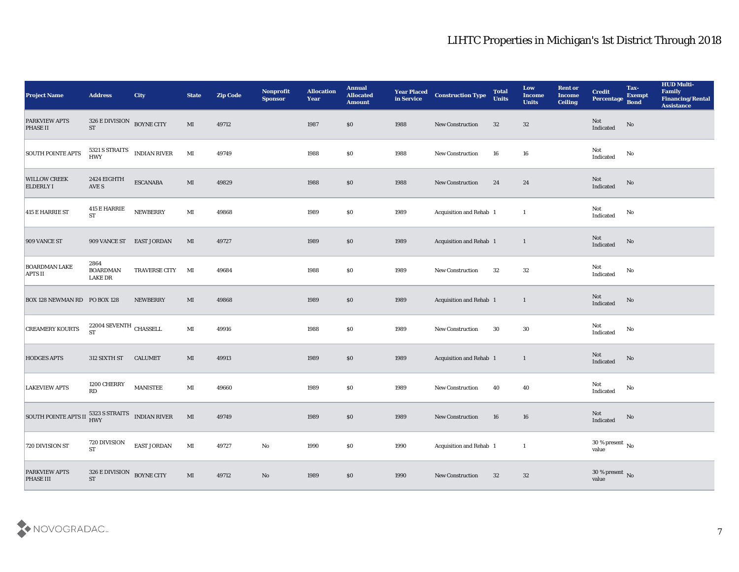| <b>Project Name</b>                              | <b>Address</b>                                  | <b>City</b>           | <b>State</b>           | <b>Zip Code</b> | Nonprofit<br><b>Sponsor</b> | <b>Allocation</b><br><b>Year</b> | <b>Annual</b><br><b>Allocated</b><br><b>Amount</b> | <b>Year Placed</b><br>in Service | <b>Construction Type</b>    | <b>Total</b><br><b>Units</b> | Low<br><b>Income</b><br><b>Units</b> | <b>Rent or</b><br><b>Income</b><br><b>Ceiling</b> | <b>Credit</b><br>Percentage Bond      | Tax-<br><b>Exempt</b> | <b>HUD Multi-</b><br>Family<br><b>Financing/Rental</b><br><b>Assistance</b> |
|--------------------------------------------------|-------------------------------------------------|-----------------------|------------------------|-----------------|-----------------------------|----------------------------------|----------------------------------------------------|----------------------------------|-----------------------------|------------------------------|--------------------------------------|---------------------------------------------------|---------------------------------------|-----------------------|-----------------------------------------------------------------------------|
| <b>PARKVIEW APTS</b><br><b>PHASE II</b>          | 326 E DIVISION BOYNE CITY<br><b>ST</b>          |                       | $\mathbf{M}\mathbf{I}$ | 49712           |                             | 1987                             | $\$0$                                              | 1988                             | New Construction            | 32                           | 32                                   |                                                   | Not<br>Indicated                      | No                    |                                                                             |
| <b>SOUTH POINTE APTS</b>                         |                                                 | 5321 S STRAITS<br>HWY | $\mathbf{M}\mathbf{I}$ | 49749           |                             | 1988                             | \$0                                                | 1988                             | <b>New Construction</b>     | 16                           | 16                                   |                                                   | Not<br>Indicated                      | No                    |                                                                             |
| <b>WILLOW CREEK</b><br><b>ELDERLY I</b>          | 2424 EIGHTH<br>AVE S                            | <b>ESCANABA</b>       | MI                     | 49829           |                             | 1988                             | \$0\$                                              | 1988                             | <b>New Construction</b>     | 24                           | 24                                   |                                                   | Not<br>Indicated                      | No                    |                                                                             |
| 415 E HARRIE ST                                  | 415 E HARRIE<br><b>ST</b>                       | <b>NEWBERRY</b>       | $\mathbf{M}$ I         | 49868           |                             | 1989                             | \$0\$                                              | 1989                             | Acquisition and Rehab 1     |                              | <sup>1</sup>                         |                                                   | Not<br>$\operatorname{Indicated}$     | No                    |                                                                             |
| 909 VANCE ST                                     | 909 VANCE ST EAST JORDAN                        |                       | MI                     | 49727           |                             | 1989                             | \$0\$                                              | 1989                             | Acquisition and Rehab 1     |                              | $\mathbf{1}$                         |                                                   | Not<br>Indicated                      | No                    |                                                                             |
| <b>BOARDMAN LAKE</b><br><b>APTS II</b>           | 2864<br><b>BOARDMAN</b><br><b>LAKE DR</b>       | <b>TRAVERSE CITY</b>  | $\mathbf{M}$           | 49684           |                             | 1988                             | \$0\$                                              | 1989                             | <b>New Construction</b>     | 32                           | 32                                   |                                                   | Not<br>$\operatorname{Indicated}$     | No                    |                                                                             |
| <b>BOX 128 NEWMAN RD PO BOX 128</b>              |                                                 | <b>NEWBERRY</b>       | MI                     | 49868           |                             | 1989                             | \$0                                                | 1989                             | Acquisition and Rehab 1     |                              | $\mathbf{1}$                         |                                                   | $\operatorname{\bf Not}$<br>Indicated | No                    |                                                                             |
| <b>CREAMERY KOURTS</b>                           | $22004$ SEVENTH $\,$ CHASSELL $\,$<br><b>ST</b> |                       | MI                     | 49916           |                             | 1988                             | \$0                                                | 1989                             | New Construction            | 30                           | 30                                   |                                                   | Not<br>Indicated                      | No                    |                                                                             |
| <b>HODGES APTS</b>                               | 312 SIXTH ST                                    | <b>CALUMET</b>        | MI                     | 49913           |                             | 1989                             | \$0\$                                              | 1989                             | Acquisition and Rehab 1     |                              | $\mathbf{1}$                         |                                                   | Not<br>Indicated                      | $\rm \bf No$          |                                                                             |
| <b>LAKEVIEW APTS</b>                             | 1200 CHERRY<br>RD                               | <b>MANISTEE</b>       | MI                     | 49660           |                             | 1989                             | \$0\$                                              | 1989                             | <b>New Construction</b>     | 40                           | 40                                   |                                                   | Not<br>Indicated                      | No                    |                                                                             |
| SOUTH POINTE APTS II 5323 S STRAITS INDIAN RIVER |                                                 |                       | $\mathbf{M}$           | 49749           |                             | 1989                             | $\$0$                                              | 1989                             | New Construction            | 16                           | 16                                   |                                                   | Not<br>Indicated                      | No                    |                                                                             |
| 720 DIVISION ST                                  | 720 DIVISION<br><b>ST</b>                       | EAST JORDAN           | $\mathbf{M}\mathbf{I}$ | 49727           | ${\bf No}$                  | 1990                             | $\$0$                                              | 1990                             | Acquisition and Rehab 1     |                              | $\mathbf{1}$                         |                                                   | $30\,\%$ present $\,$ No value        |                       |                                                                             |
| <b>PARKVIEW APTS</b><br>PHASE III                | $326$ E DIVISION $\;$ BOYNE CITY ST             |                       | $\mathbf{M}\mathbf{I}$ | 49712           | $\mathbf {No}$              | 1989                             | $\$0$                                              | 1990                             | ${\hbox{New Construction}}$ | 32                           | 32                                   |                                                   | $30\,\%$ present $\,$ No value        |                       |                                                                             |

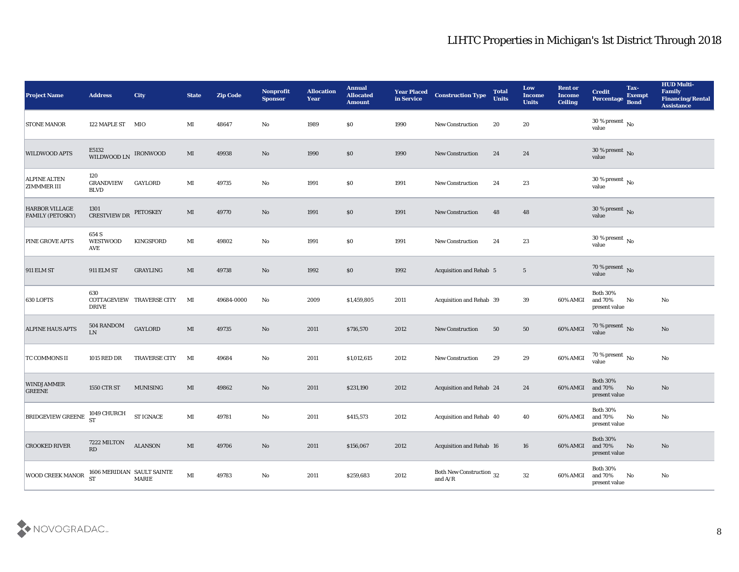| <b>Project Name</b>                              | <b>Address</b>                         | <b>City</b>                                | <b>State</b>           | <b>Zip Code</b> | Nonprofit<br><b>Sponsor</b> | <b>Allocation</b><br><b>Year</b> | <b>Annual</b><br><b>Allocated</b><br><b>Amount</b> | <b>Year Placed</b><br>in Service | <b>Construction Type</b>                   | <b>Total</b><br><b>Units</b> | Low<br><b>Income</b><br><b>Units</b> | <b>Rent or</b><br><b>Income</b><br><b>Ceiling</b> | <b>Credit</b><br>Percentage                             | Tax-<br><b>Exempt</b><br><b>Bond</b> | <b>HUD Multi-</b><br>Family<br><b>Financing/Rental</b><br><b>Assistance</b> |
|--------------------------------------------------|----------------------------------------|--------------------------------------------|------------------------|-----------------|-----------------------------|----------------------------------|----------------------------------------------------|----------------------------------|--------------------------------------------|------------------------------|--------------------------------------|---------------------------------------------------|---------------------------------------------------------|--------------------------------------|-----------------------------------------------------------------------------|
| <b>STONE MANOR</b>                               | 122 MAPLE ST MIO                       |                                            | MI                     | 48647           | No                          | 1989                             | $\$0$                                              | 1990                             | <b>New Construction</b>                    | 20                           | 20                                   |                                                   | 30 % present $\,$ No $\,$<br>value                      |                                      |                                                                             |
| <b>WILDWOOD APTS</b>                             | E5132<br>WILDWOOD LN                   | <b>IRONWOOD</b>                            | MI                     | 49938           | No                          | 1990                             | $\$0$                                              | 1990                             | <b>New Construction</b>                    | 24                           | 24                                   |                                                   | $30\,\%$ present $\,$ No value                          |                                      |                                                                             |
| <b>ALPINE ALTEN</b><br><b>ZIMMMER III</b>        | 120<br><b>GRANDVIEW</b><br><b>BLVD</b> | <b>GAYLORD</b>                             | $\mathbf{M}$ I         | 49735           | No                          | 1991                             | \$0\$                                              | 1991                             | <b>New Construction</b>                    | 24                           | 23                                   |                                                   | $30\,\%$ present $\,$ No value                          |                                      |                                                                             |
| <b>HARBOR VILLAGE</b><br><b>FAMILY (PETOSKY)</b> | 1301<br><b>CRESTVIEW DR</b>            | <b>PETOSKEY</b>                            | MI                     | 49770           | No                          | 1991                             | \$0\$                                              | 1991                             | <b>New Construction</b>                    | 48                           | 48                                   |                                                   | $30\,\%$ present $\,$ No value                          |                                      |                                                                             |
| <b>PINE GROVE APTS</b>                           | 654 S<br><b>WESTWOOD</b><br>AVE        | <b>KINGSFORD</b>                           | MI                     | 49802           | No                          | 1991                             | $\$0$                                              | 1991                             | <b>New Construction</b>                    | 24                           | 23                                   |                                                   | $30\,\%$ present $\,$ No value                          |                                      |                                                                             |
| <b>911 ELM ST</b>                                | <b>911 ELM ST</b>                      | <b>GRAYLING</b>                            | MI                     | 49738           | No                          | 1992                             | $\$0$                                              | 1992                             | Acquisition and Rehab 5                    |                              | $5\phantom{.0}$                      |                                                   | $70\,\%$ present $\,$ No value                          |                                      |                                                                             |
| <b>630 LOFTS</b>                                 | 630<br>DRIVE                           | COTTAGEVIEW TRAVERSE CITY                  | MI                     | 49684-0000      | No                          | 2009                             | \$1,459,805                                        | 2011                             | <b>Acquisition and Rehab 39</b>            |                              | 39                                   | 60% AMGI                                          | <b>Both 30%</b><br>and 70%<br>present value             | No                                   | No                                                                          |
| <b>ALPINE HAUS APTS</b>                          | 504 RANDOM<br>${\rm LN}$               | <b>GAYLORD</b>                             | $\mathbf{M}\mathbf{I}$ | 49735           | No                          | 2011                             | \$716,570                                          | 2012                             | <b>New Construction</b>                    | 50                           | 50                                   | 60% AMGI                                          | 70 % present No<br>value                                |                                      | No                                                                          |
| TC COMMONS II                                    | 1015 RED DR                            | <b>TRAVERSE CITY</b>                       | MI                     | 49684           | No                          | 2011                             | \$1,012,615                                        | 2012                             | <b>New Construction</b>                    | 29                           | 29                                   | 60% AMGI                                          | 70 % present $\,$ No $\,$<br>value                      |                                      | No                                                                          |
| <b>WINDJAMMER</b><br><b>GREENE</b>               | 1550 CTR ST                            | <b>MUNISING</b>                            | MI                     | 49862           | No                          | 2011                             | \$231,190                                          | 2012                             | <b>Acquisition and Rehab 24</b>            |                              | 24                                   | 60% AMGI                                          | <b>Both 30%</b><br>and 70%<br>present value             | No                                   | No                                                                          |
| <b>BRIDGEVIEW GREENE</b>                         | 1049 CHURCH<br><b>ST</b>               | <b>ST IGNACE</b>                           | MI                     | 49781           | No                          | 2011                             | \$415,573                                          | 2012                             | Acquisition and Rehab 40                   |                              | 40                                   | 60% AMGI and 70%                                  | <b>Both 30%</b><br>$\,$ present value                   | No                                   | No                                                                          |
| <b>CROOKED RIVER</b>                             | 7222 MILTON<br>RD                      | <b>ALANSON</b>                             | $\mathbf{M}\mathbf{I}$ | 49706           | $\mathbf {No}$              | 2011                             | \$156,067                                          | 2012                             | Acquisition and Rehab 16                   |                              | 16                                   |                                                   | <b>Both 30%</b><br>60% AMGI and 70% No<br>present value |                                      | $\mathbf{N}\mathbf{o}$                                                      |
| <b>WOOD CREEK MANOR</b>                          | <b>ST</b>                              | 1606 MERIDIAN SAULT SAINTE<br><b>MARIE</b> | $\mathbf{M}\mathbf{I}$ | 49783           | $\mathbf {No}$              | 2011                             | \$259,683                                          | 2012                             | Both New Construction $\,$ 32 $\,$ and A/R |                              | 32                                   | 60% AMGI                                          | Both $30\%$<br>and 70%<br>present value                 | No                                   | $\mathbf{No}$                                                               |

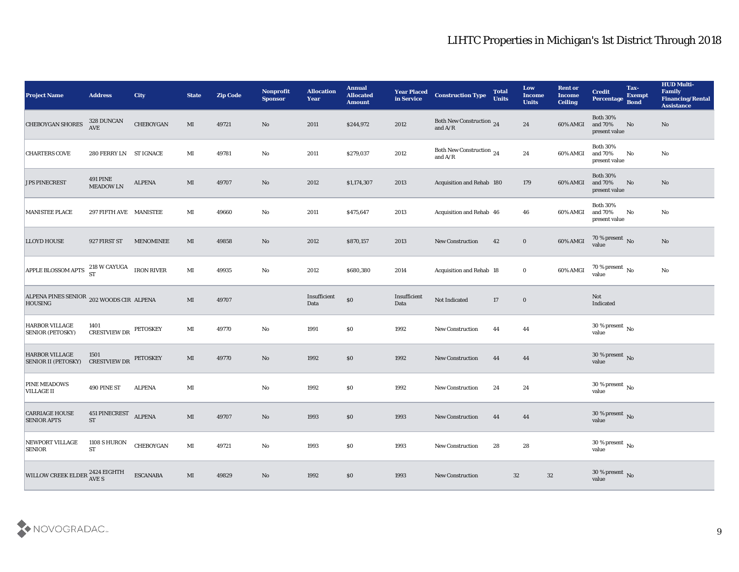| <b>Project Name</b>                                        | <b>Address</b>                             | <b>City</b>      | <b>State</b>           | <b>Zip Code</b> | Nonprofit<br><b>Sponsor</b> | <b>Allocation</b><br><b>Year</b> | <b>Annual</b><br><b>Allocated</b><br><b>Amount</b> | <b>Year Placed</b><br>in Service | <b>Construction Type</b>                                                          | <b>Total</b><br><b>Units</b> | Low<br><b>Income</b><br><b>Units</b> | <b>Rent or</b><br><b>Income</b><br><b>Ceiling</b> | <b>Credit</b><br><b>Percentage</b>          | Tax-<br><b>Exempt</b><br><b>Bond</b> | <b>HUD Multi-</b><br>Family<br><b>Financing/Rental</b><br><b>Assistance</b> |
|------------------------------------------------------------|--------------------------------------------|------------------|------------------------|-----------------|-----------------------------|----------------------------------|----------------------------------------------------|----------------------------------|-----------------------------------------------------------------------------------|------------------------------|--------------------------------------|---------------------------------------------------|---------------------------------------------|--------------------------------------|-----------------------------------------------------------------------------|
| <b>CHEBOYGAN SHORES</b>                                    | 328 DUNCAN<br>AVE                          | CHEBOYGAN        | MI                     | 49721           | $\mathbf{N}\mathbf{o}$      | 2011                             | \$244,972                                          | 2012                             | Both New Construction 24<br>and $\ensuremath{\mathrm{A}}/\ensuremath{\mathrm{R}}$ |                              | 24                                   | 60% AMGI                                          | <b>Both 30%</b><br>and 70%<br>present value | No                                   | No                                                                          |
| <b>CHARTERS COVE</b>                                       | 280 FERRY LN ST IGNACE                     |                  | MI                     | 49781           | No                          | 2011                             | \$279,037                                          | 2012                             | Both New Construction 24<br>and $A/R$                                             |                              | 24                                   | 60% AMGI                                          | <b>Both 30%</b><br>and 70%<br>present value | No                                   | No                                                                          |
| <b>JPS PINECREST</b>                                       | <b>491 PINE</b><br><b>MEADOW LN</b>        | <b>ALPENA</b>    | MI                     | 49707           | $\mathbf{N}\mathbf{o}$      | 2012                             | \$1,174,307                                        | 2013                             | Acquisition and Rehab 180                                                         |                              | 179                                  | 60% AMGI                                          | <b>Both 30%</b><br>and 70%<br>present value | No                                   | No                                                                          |
| MANISTEE PLACE                                             | 297 FIFTH AVE MANISTEE                     |                  | MI                     | 49660           | No                          | 2011                             | \$475,647                                          | 2013                             | Acquisition and Rehab 46                                                          |                              | 46                                   | 60% AMGI                                          | <b>Both 30%</b><br>and 70%<br>present value | No                                   | No                                                                          |
| <b>LLOYD HOUSE</b>                                         | 927 FIRST ST                               | <b>MENOMINEE</b> | MI                     | 49858           | $\mathbf{N}\mathbf{o}$      | 2012                             | \$870,157                                          | 2013                             | <b>New Construction</b>                                                           | 42                           | $\bf{0}$                             | 60% AMGI                                          | $70\,\%$ present $\,$ No value              |                                      | No                                                                          |
| APPLE BLOSSOM APTS $^{218}_{ST}$ W CAYUGA IRON RIVER       |                                            |                  | $\mathbf{M}$ I         | 49935           | No                          | 2012                             | \$680,380                                          | 2014                             | Acquisition and Rehab 18                                                          |                              | $\bf{0}$                             | 60% AMGI                                          | $70\,\%$ present $\,$ No value              |                                      | No                                                                          |
| ALPENA PINES SENIOR 202 WOODS CIR ALPENA<br><b>HOUSING</b> |                                            |                  | MI                     | 49707           |                             | Insufficient<br>Data             | $\boldsymbol{\mathsf{S}}\boldsymbol{\mathsf{O}}$   | Insufficient<br>Data             | Not Indicated                                                                     | 17                           | $\bf{0}$                             |                                                   | Not<br>Indicated                            |                                      |                                                                             |
| <b>HARBOR VILLAGE</b><br><b>SENIOR (PETOSKY)</b>           | 1401<br><b>CRESTVIEW DR</b>                | PETOSKEY         | MI                     | 49770           | No                          | 1991                             | $\$0$                                              | 1992                             | <b>New Construction</b>                                                           | 44                           | 44                                   |                                                   | $30\,\%$ present $\,$ No value              |                                      |                                                                             |
| <b>HARBOR VILLAGE</b><br><b>SENIOR II (PETOSKY)</b>        | 1501<br><b>CRESTVIEW DR</b>                | <b>PETOSKEY</b>  | MI                     | 49770           | No                          | 1992                             | \$0                                                | 1992                             | <b>New Construction</b>                                                           | 44                           | 44                                   |                                                   | $30\,\%$ present $\,$ No value              |                                      |                                                                             |
| <b>PINE MEADOWS</b><br><b>VILLAGE II</b>                   | 490 PINE ST                                | <b>ALPENA</b>    | MI                     |                 | No                          | 1992                             | $\$0$                                              | 1992                             | <b>New Construction</b>                                                           | 24                           | 24                                   |                                                   | $30\,\%$ present $\,$ No value              |                                      |                                                                             |
| <b>CARRIAGE HOUSE</b><br><b>SENIOR APTS</b>                | <b>451 PINECREST</b><br>${\cal S}{\cal T}$ | <b>ALPENA</b>    | MI                     | 49707           | No                          | 1993                             | $\$0$                                              | 1993                             | <b>New Construction</b>                                                           | 44                           | 44                                   |                                                   | 30 % present $\,$ No $\,$<br>value          |                                      |                                                                             |
| NEWPORT VILLAGE<br><b>SENIOR</b>                           | 1108 S HURON<br>ST                         | CHEBOYGAN        | $\mathbf{M}$ I         | 49721           | $\rm\thinspace No$          | 1993                             | $\$0$                                              | 1993                             | New Construction                                                                  | 28                           | ${\bf 28}$                           |                                                   | 30 % present $\,$ No $\,$<br>value          |                                      |                                                                             |
| WILLOW CREEK ELDER <sup>2424</sup> EIGHTH                  |                                            | <b>ESCANABA</b>  | $\mathbf{M}\mathbf{I}$ | 49829           | $\mathbf {No}$              | 1992                             | $\$0$                                              | 1993                             | New Construction                                                                  | $32\,$                       | 32                                   |                                                   | $30\,\%$ present $\,$ No value              |                                      |                                                                             |

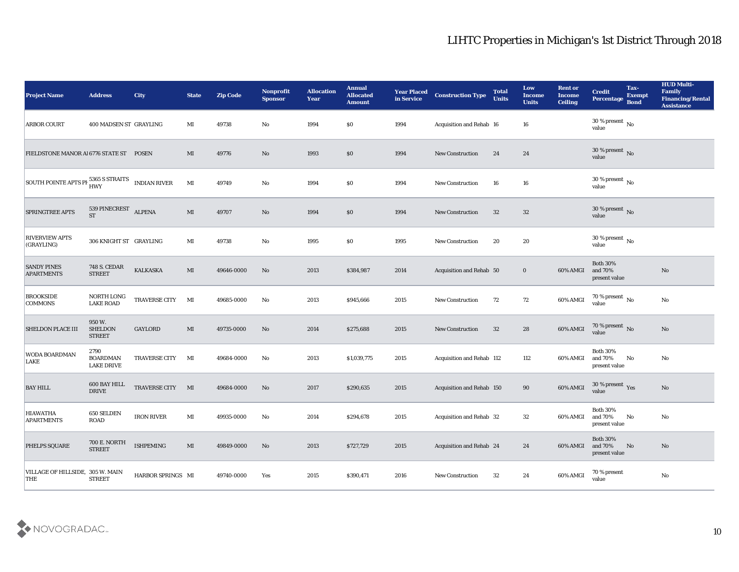| <b>Project Name</b>                            | <b>Address</b>                                | <b>City</b>          | <b>State</b>           | <b>Zip Code</b> | Nonprofit<br><b>Sponsor</b> | <b>Allocation</b><br><b>Year</b> | <b>Annual</b><br><b>Allocated</b><br><b>Amount</b> | <b>Year Placed</b><br>in Service | <b>Construction Type</b>  | <b>Total</b><br><b>Units</b> | Low<br><b>Income</b><br><b>Units</b> | <b>Rent or</b><br><b>Income</b><br><b>Ceiling</b> | <b>Credit</b><br>Percentage                 | Tax-<br><b>Exempt</b><br><b>Bond</b> | <b>HUD Multi-</b><br>Family<br><b>Financing/Rental</b><br><b>Assistance</b> |
|------------------------------------------------|-----------------------------------------------|----------------------|------------------------|-----------------|-----------------------------|----------------------------------|----------------------------------------------------|----------------------------------|---------------------------|------------------------------|--------------------------------------|---------------------------------------------------|---------------------------------------------|--------------------------------------|-----------------------------------------------------------------------------|
| <b>ARBOR COURT</b>                             | 400 MADSEN ST GRAYLING                        |                      | MI                     | 49738           | No                          | 1994                             | $\$0$                                              | 1994                             | Acquisition and Rehab 16  |                              | 16                                   |                                                   | 30 % present $\,$ No $\,$<br>value          |                                      |                                                                             |
| FIELDSTONE MANOR AI 6776 STATE ST POSEN        |                                               |                      | MI                     | 49776           | No                          | 1993                             | $\$0$                                              | 1994                             | <b>New Construction</b>   | 24                           | 24                                   |                                                   | 30 % present $\sqrt{\ }$ No<br>value        |                                      |                                                                             |
| SOUTH POINTE APTS PF 5365 S STRAITS            |                                               | <b>INDIAN RIVER</b>  | $\mathbf{M}$           | 49749           | No                          | 1994                             | \$0\$                                              | 1994                             | <b>New Construction</b>   | 16                           | 16                                   |                                                   | 30 % present $\,$ No $\,$<br>value          |                                      |                                                                             |
| <b>SPRINGTREE APTS</b>                         | 539 PINECREST ALPENA<br><b>ST</b>             |                      | MI                     | 49707           | No                          | 1994                             | $\$0$                                              | 1994                             | <b>New Construction</b>   | 32                           | 32                                   |                                                   | $30\,\%$ present $\,$ No value              |                                      |                                                                             |
| <b>RIVERVIEW APTS</b><br>(GRAYLING)            | 306 KNIGHT ST GRAYLING                        |                      | MI                     | 49738           | No                          | 1995                             | $\$0$                                              | 1995                             | <b>New Construction</b>   | 20                           | 20                                   |                                                   | $30\,\%$ present $\,$ No value              |                                      |                                                                             |
| <b>SANDY PINES</b><br><b>APARTMENTS</b>        | <b>748 S. CEDAR</b><br><b>STREET</b>          | <b>KALKASKA</b>      | MI                     | 49646-0000      | No                          | 2013                             | \$384,987                                          | 2014                             | Acquisition and Rehab 50  |                              | $\bf{0}$                             | 60% AMGI                                          | <b>Both 30%</b><br>and 70%<br>present value |                                      | No                                                                          |
| <b>BROOKSIDE</b><br><b>COMMONS</b>             | NORTH LONG<br><b>LAKE ROAD</b>                | TRAVERSE CITY        | MI                     | 49685-0000      | No                          | 2013                             | \$945,666                                          | 2015                             | <b>New Construction</b>   | 72                           | 72                                   | 60% AMGI                                          | $70\,\%$ present $\,$ No value              |                                      | No                                                                          |
| <b>SHELDON PLACE III</b>                       | 950 W.<br><b>SHELDON</b><br><b>STREET</b>     | <b>GAYLORD</b>       | MI                     | 49735-0000      | No                          | 2014                             | \$275,688                                          | 2015                             | <b>New Construction</b>   | 32                           | 28                                   | 60% AMGI                                          | 70 % present No<br>value                    |                                      | No                                                                          |
| WODA BOARDMAN<br>LAKE                          | 2790<br><b>BOARDMAN</b><br><b>LAKE DRIVE</b>  | <b>TRAVERSE CITY</b> | MI                     | 49684-0000      | No                          | 2013                             | \$1,039,775                                        | 2015                             | Acquisition and Rehab 112 |                              | 112                                  | 60% AMGI                                          | <b>Both 30%</b><br>and 70%<br>present value | No                                   | No                                                                          |
| <b>BAY HILL</b>                                | 600 BAY HILL<br>$\ensuremath{\mathsf{DRIVE}}$ | TRAVERSE CITY MI     |                        | 49684-0000      | No                          | 2017                             | \$290,635                                          | 2015                             | Acquisition and Rehab 150 |                              | 90                                   | 60% AMGI                                          | $30\,\%$ present $\,$ Yes value             |                                      | No                                                                          |
| <b>HIAWATHA</b><br><b>APARTMENTS</b>           | 650 SELDEN<br><b>ROAD</b>                     | <b>IRON RIVER</b>    | MI                     | 49935-0000      | No                          | 2014                             | \$294,678                                          | 2015                             | Acquisition and Rehab 32  |                              | 32                                   | 60% AMGI and 70%                                  | <b>Both 30%</b><br>present value            | No                                   | No                                                                          |
| PHELPS SQUARE                                  | <b>700 E. NORTH</b><br><b>STREET</b>          | <b>ISHPEMING</b>     | $\mathbf{M}\mathbf{I}$ | 49849-0000      | No                          | 2013                             | \$727,729                                          | 2015                             | Acquisition and Rehab 24  |                              | 24                                   | 60% AMGI                                          | <b>Both 30%</b><br>and 70%<br>present value | N <sub>o</sub>                       | $\mathbf{N}\mathbf{o}$                                                      |
| VILLAGE OF HILLSIDE, 305 W. MAIN<br><b>THE</b> | <b>STREET</b>                                 | HARBOR SPRINGS MI    |                        | 49740-0000      | Yes                         | 2015                             | \$390,471                                          | 2016                             | New Construction          | 32                           | 24                                   | 60% AMGI                                          | 70 % present<br>value                       |                                      | $\rm\thinspace No$                                                          |